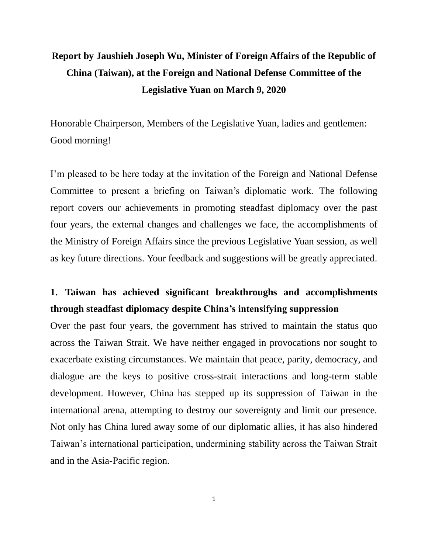# **Report by Jaushieh Joseph Wu, Minister of Foreign Affairs of the Republic of China (Taiwan), at the Foreign and National Defense Committee of the Legislative Yuan on March 9, 2020**

Honorable Chairperson, Members of the Legislative Yuan, ladies and gentlemen: Good morning!

I'm pleased to be here today at the invitation of the Foreign and National Defense Committee to present a briefing on Taiwan's diplomatic work. The following report covers our achievements in promoting steadfast diplomacy over the past four years, the external changes and challenges we face, the accomplishments of the Ministry of Foreign Affairs since the previous Legislative Yuan session, as well as key future directions. Your feedback and suggestions will be greatly appreciated.

# **1. Taiwan has achieved significant breakthroughs and accomplishments through steadfast diplomacy despite China's intensifying suppression**

Over the past four years, the government has strived to maintain the status quo across the Taiwan Strait. We have neither engaged in provocations nor sought to exacerbate existing circumstances. We maintain that peace, parity, democracy, and dialogue are the keys to positive cross-strait interactions and long-term stable development. However, China has stepped up its suppression of Taiwan in the international arena, attempting to destroy our sovereignty and limit our presence. Not only has China lured away some of our diplomatic allies, it has also hindered Taiwan's international participation, undermining stability across the Taiwan Strait and in the Asia-Pacific region.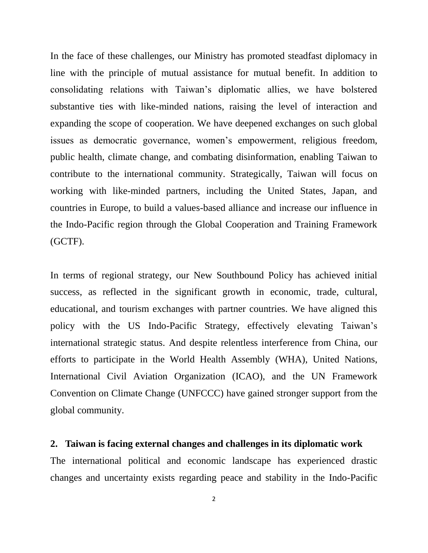In the face of these challenges, our Ministry has promoted steadfast diplomacy in line with the principle of mutual assistance for mutual benefit. In addition to consolidating relations with Taiwan's diplomatic allies, we have bolstered substantive ties with like-minded nations, raising the level of interaction and expanding the scope of cooperation. We have deepened exchanges on such global issues as democratic governance, women's empowerment, religious freedom, public health, climate change, and combating disinformation, enabling Taiwan to contribute to the international community. Strategically, Taiwan will focus on working with like-minded partners, including the United States, Japan, and countries in Europe, to build a values-based alliance and increase our influence in the Indo-Pacific region through the Global Cooperation and Training Framework (GCTF).

In terms of regional strategy, our New Southbound Policy has achieved initial success, as reflected in the significant growth in economic, trade, cultural, educational, and tourism exchanges with partner countries. We have aligned this policy with the US Indo-Pacific Strategy, effectively elevating Taiwan's international strategic status. And despite relentless interference from China, our efforts to participate in the World Health Assembly (WHA), United Nations, International Civil Aviation Organization (ICAO), and the UN Framework Convention on Climate Change (UNFCCC) have gained stronger support from the global community.

### **2. Taiwan is facing external changes and challenges in its diplomatic work**

The international political and economic landscape has experienced drastic changes and uncertainty exists regarding peace and stability in the Indo-Pacific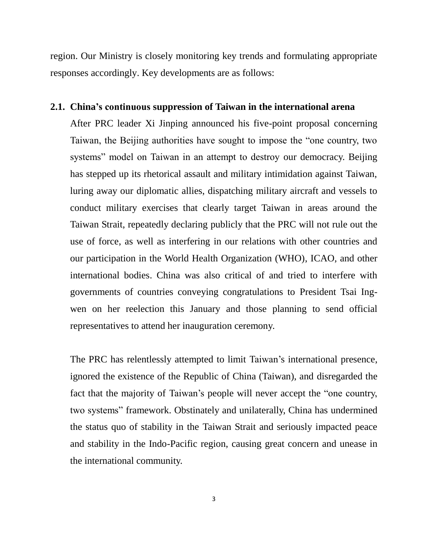region. Our Ministry is closely monitoring key trends and formulating appropriate responses accordingly. Key developments are as follows:

#### **2.1. China's continuous suppression of Taiwan in the international arena**

After PRC leader Xi Jinping announced his five-point proposal concerning Taiwan, the Beijing authorities have sought to impose the "one country, two systems" model on Taiwan in an attempt to destroy our democracy. Beijing has stepped up its rhetorical assault and military intimidation against Taiwan, luring away our diplomatic allies, dispatching military aircraft and vessels to conduct military exercises that clearly target Taiwan in areas around the Taiwan Strait, repeatedly declaring publicly that the PRC will not rule out the use of force, as well as interfering in our relations with other countries and our participation in the World Health Organization (WHO), ICAO, and other international bodies. China was also critical of and tried to interfere with governments of countries conveying congratulations to President Tsai Ingwen on her reelection this January and those planning to send official representatives to attend her inauguration ceremony.

The PRC has relentlessly attempted to limit Taiwan's international presence, ignored the existence of the Republic of China (Taiwan), and disregarded the fact that the majority of Taiwan's people will never accept the "one country, two systems" framework. Obstinately and unilaterally, China has undermined the status quo of stability in the Taiwan Strait and seriously impacted peace and stability in the Indo-Pacific region, causing great concern and unease in the international community.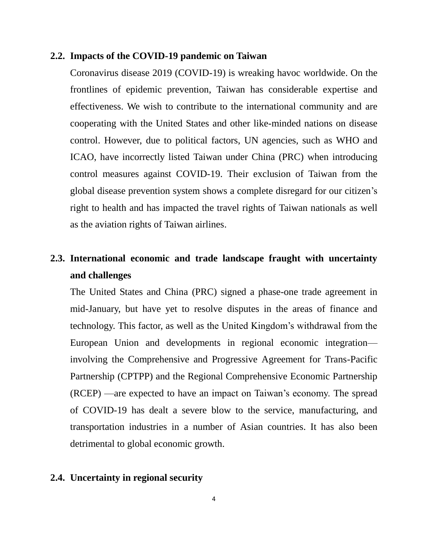#### **2.2. Impacts of the COVID-19 pandemic on Taiwan**

Coronavirus disease 2019 (COVID-19) is wreaking havoc worldwide. On the frontlines of epidemic prevention, Taiwan has considerable expertise and effectiveness. We wish to contribute to the international community and are cooperating with the United States and other like-minded nations on disease control. However, due to political factors, UN agencies, such as WHO and ICAO, have incorrectly listed Taiwan under China (PRC) when introducing control measures against COVID-19. Their exclusion of Taiwan from the global disease prevention system shows a complete disregard for our citizen's right to health and has impacted the travel rights of Taiwan nationals as well as the aviation rights of Taiwan airlines.

# **2.3. International economic and trade landscape fraught with uncertainty and challenges**

The United States and China (PRC) signed a phase-one trade agreement in mid-January, but have yet to resolve disputes in the areas of finance and technology. This factor, as well as the United Kingdom's withdrawal from the European Union and developments in regional economic integration involving the Comprehensive and Progressive Agreement for Trans-Pacific Partnership (CPTPP) and the Regional Comprehensive Economic Partnership (RCEP) —are expected to have an impact on Taiwan's economy. The spread of COVID-19 has dealt a severe blow to the service, manufacturing, and transportation industries in a number of Asian countries. It has also been detrimental to global economic growth.

## **2.4. Uncertainty in regional security**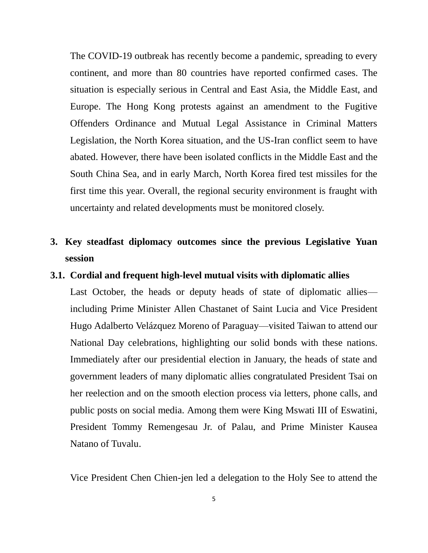The COVID-19 outbreak has recently become a pandemic, spreading to every continent, and more than 80 countries have reported confirmed cases. The situation is especially serious in Central and East Asia, the Middle East, and Europe. The Hong Kong protests against an amendment to the Fugitive Offenders Ordinance and Mutual Legal Assistance in Criminal Matters Legislation, the North Korea situation, and the US-Iran conflict seem to have abated. However, there have been isolated conflicts in the Middle East and the South China Sea, and in early March, North Korea fired test missiles for the first time this year. Overall, the regional security environment is fraught with uncertainty and related developments must be monitored closely.

# **3. Key steadfast diplomacy outcomes since the previous Legislative Yuan session**

### **3.1. Cordial and frequent high-level mutual visits with diplomatic allies**

Last October, the heads or deputy heads of state of diplomatic allies including Prime Minister Allen Chastanet of Saint Lucia and Vice President Hugo Adalberto Velázquez Moreno of Paraguay—visited Taiwan to attend our National Day celebrations, highlighting our solid bonds with these nations. Immediately after our presidential election in January, the heads of state and government leaders of many diplomatic allies congratulated President Tsai on her reelection and on the smooth election process via letters, phone calls, and public posts on social media. Among them were King Mswati III of Eswatini, President Tommy Remengesau Jr. of Palau, and Prime Minister Kausea Natano of Tuvalu.

Vice President Chen Chien-jen led a delegation to the Holy See to attend the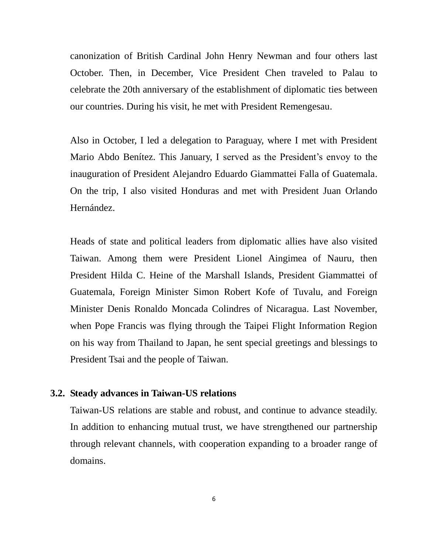canonization of British Cardinal John Henry Newman and four others last October. Then, in December, Vice President Chen traveled to Palau to celebrate the 20th anniversary of the establishment of diplomatic ties between our countries. During his visit, he met with President Remengesau.

Also in October, I led a delegation to Paraguay, where I met with President Mario Abdo Benítez. This January, I served as the President's envoy to the inauguration of President Alejandro Eduardo Giammattei Falla of Guatemala. On the trip, I also visited Honduras and met with President Juan Orlando Hernández.

Heads of state and political leaders from diplomatic allies have also visited Taiwan. Among them were President Lionel Aingimea of Nauru, then President Hilda C. Heine of the Marshall Islands, President Giammattei of Guatemala, Foreign Minister Simon Robert Kofe of Tuvalu, and Foreign Minister Denis Ronaldo Moncada Colindres of Nicaragua. Last November, when Pope Francis was flying through the Taipei Flight Information Region on his way from Thailand to Japan, he sent special greetings and blessings to President Tsai and the people of Taiwan.

### **3.2. Steady advances in Taiwan-US relations**

Taiwan-US relations are stable and robust, and continue to advance steadily. In addition to enhancing mutual trust, we have strengthened our partnership through relevant channels, with cooperation expanding to a broader range of domains.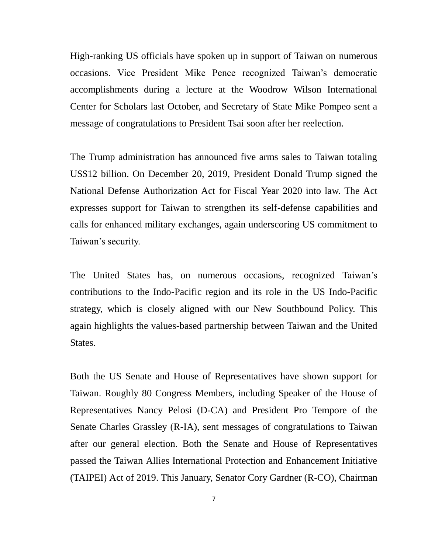High-ranking US officials have spoken up in support of Taiwan on numerous occasions. Vice President Mike Pence recognized Taiwan's democratic accomplishments during a lecture at the Woodrow Wilson International Center for Scholars last October, and Secretary of State Mike Pompeo sent a message of congratulations to President Tsai soon after her reelection.

The Trump administration has announced five arms sales to Taiwan totaling US\$12 billion. On December 20, 2019, President Donald Trump signed the National Defense Authorization Act for Fiscal Year 2020 into law. The Act expresses support for Taiwan to strengthen its self-defense capabilities and calls for enhanced military exchanges, again underscoring US commitment to Taiwan's security.

The United States has, on numerous occasions, recognized Taiwan's contributions to the Indo-Pacific region and its role in the US Indo-Pacific strategy, which is closely aligned with our New Southbound Policy. This again highlights the values-based partnership between Taiwan and the United States.

Both the US Senate and House of Representatives have shown support for Taiwan. Roughly 80 Congress Members, including Speaker of the House of Representatives Nancy Pelosi (D-CA) and President Pro Tempore of the Senate Charles Grassley (R-IA), sent messages of congratulations to Taiwan after our general election. Both the Senate and House of Representatives passed the Taiwan Allies International Protection and Enhancement Initiative (TAIPEI) Act of 2019. This January, Senator Cory Gardner (R-CO), Chairman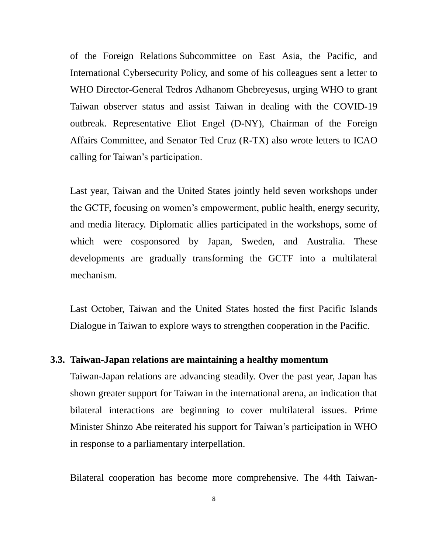of the Foreign Relations Subcommittee on East Asia, the Pacific, and International Cybersecurity Policy, and some of his colleagues sent a letter to WHO Director-General Tedros Adhanom Ghebreyesus, urging WHO to grant Taiwan observer status and assist Taiwan in dealing with the COVID-19 outbreak. Representative Eliot Engel (D-NY), Chairman of the Foreign Affairs Committee, and Senator Ted Cruz (R-TX) also wrote letters to ICAO calling for Taiwan's participation.

Last year, Taiwan and the United States jointly held seven workshops under the GCTF, focusing on women's empowerment, public health, energy security, and media literacy. Diplomatic allies participated in the workshops, some of which were cosponsored by Japan, Sweden, and Australia. These developments are gradually transforming the GCTF into a multilateral mechanism.

Last October, Taiwan and the United States hosted the first Pacific Islands Dialogue in Taiwan to explore ways to strengthen cooperation in the Pacific.

#### **3.3. Taiwan-Japan relations are maintaining a healthy momentum**

Taiwan-Japan relations are advancing steadily. Over the past year, Japan has shown greater support for Taiwan in the international arena, an indication that bilateral interactions are beginning to cover multilateral issues. Prime Minister Shinzo Abe reiterated his support for Taiwan's participation in WHO in response to a parliamentary interpellation.

Bilateral cooperation has become more comprehensive. The 44th Taiwan-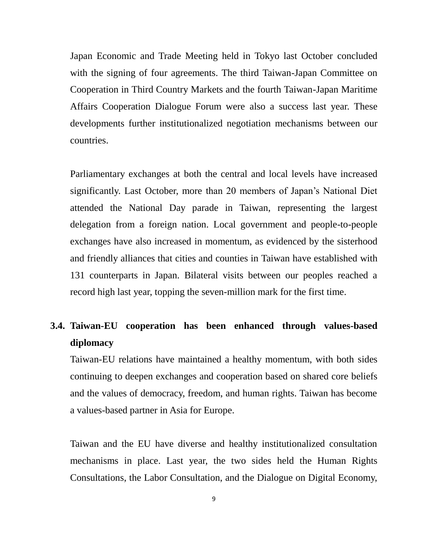Japan Economic and Trade Meeting held in Tokyo last October concluded with the signing of four agreements. The third Taiwan-Japan Committee on Cooperation in Third Country Markets and the fourth Taiwan-Japan Maritime Affairs Cooperation Dialogue Forum were also a success last year. These developments further institutionalized negotiation mechanisms between our countries.

Parliamentary exchanges at both the central and local levels have increased significantly. Last October, more than 20 members of Japan's National Diet attended the National Day parade in Taiwan, representing the largest delegation from a foreign nation. Local government and people-to-people exchanges have also increased in momentum, as evidenced by the sisterhood and friendly alliances that cities and counties in Taiwan have established with 131 counterparts in Japan. Bilateral visits between our peoples reached a record high last year, topping the seven-million mark for the first time.

# **3.4. Taiwan-EU cooperation has been enhanced through values-based diplomacy**

Taiwan-EU relations have maintained a healthy momentum, with both sides continuing to deepen exchanges and cooperation based on shared core beliefs and the values of democracy, freedom, and human rights. Taiwan has become a values-based partner in Asia for Europe.

Taiwan and the EU have diverse and healthy institutionalized consultation mechanisms in place. Last year, the two sides held the Human Rights Consultations, the Labor Consultation, and the Dialogue on Digital Economy,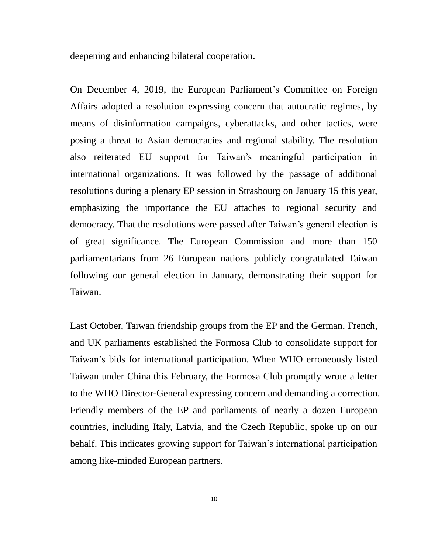deepening and enhancing bilateral cooperation.

On December 4, 2019, the European Parliament's Committee on Foreign Affairs adopted a resolution expressing concern that autocratic regimes, by means of disinformation campaigns, cyberattacks, and other tactics, were posing a threat to Asian democracies and regional stability. The resolution also reiterated EU support for Taiwan's meaningful participation in international organizations. It was followed by the passage of additional resolutions during a plenary EP session in Strasbourg on January 15 this year, emphasizing the importance the EU attaches to regional security and democracy. That the resolutions were passed after Taiwan's general election is of great significance. The European Commission and more than 150 parliamentarians from 26 European nations publicly congratulated Taiwan following our general election in January, demonstrating their support for Taiwan.

Last October, Taiwan friendship groups from the EP and the German, French, and UK parliaments established the Formosa Club to consolidate support for Taiwan's bids for international participation. When WHO erroneously listed Taiwan under China this February, the Formosa Club promptly wrote a letter to the WHO Director-General expressing concern and demanding a correction. Friendly members of the EP and parliaments of nearly a dozen European countries, including Italy, Latvia, and the Czech Republic, spoke up on our behalf. This indicates growing support for Taiwan's international participation among like-minded European partners.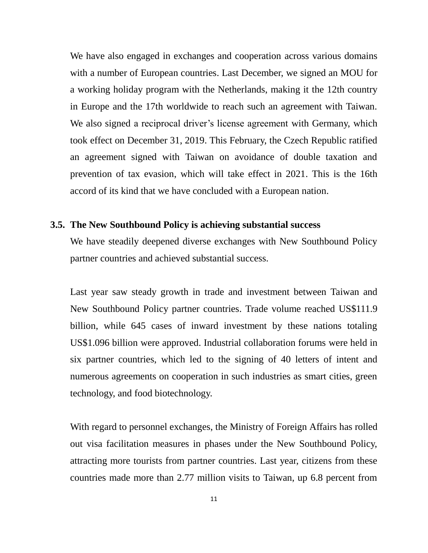We have also engaged in exchanges and cooperation across various domains with a number of European countries. Last December, we signed an MOU for a working holiday program with the Netherlands, making it the 12th country in Europe and the 17th worldwide to reach such an agreement with Taiwan. We also signed a reciprocal driver's license agreement with Germany, which took effect on December 31, 2019. This February, the Czech Republic ratified an agreement signed with Taiwan on avoidance of double taxation and prevention of tax evasion, which will take effect in 2021. This is the 16th accord of its kind that we have concluded with a European nation.

### **3.5. The New Southbound Policy is achieving substantial success**

We have steadily deepened diverse exchanges with New Southbound Policy partner countries and achieved substantial success.

Last year saw steady growth in trade and investment between Taiwan and New Southbound Policy partner countries. Trade volume reached US\$111.9 billion, while 645 cases of inward investment by these nations totaling US\$1.096 billion were approved. Industrial collaboration forums were held in six partner countries, which led to the signing of 40 letters of intent and numerous agreements on cooperation in such industries as smart cities, green technology, and food biotechnology.

With regard to personnel exchanges, the Ministry of Foreign Affairs has rolled out visa facilitation measures in phases under the New Southbound Policy, attracting more tourists from partner countries. Last year, citizens from these countries made more than 2.77 million visits to Taiwan, up 6.8 percent from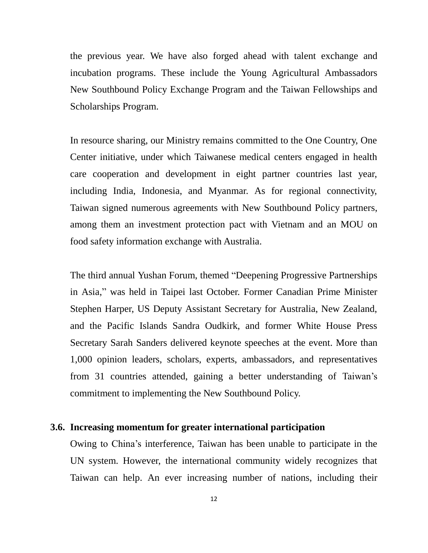the previous year. We have also forged ahead with talent exchange and incubation programs. These include the Young Agricultural Ambassadors New Southbound Policy Exchange Program and the Taiwan Fellowships and Scholarships Program.

In resource sharing, our Ministry remains committed to the One Country, One Center initiative, under which Taiwanese medical centers engaged in health care cooperation and development in eight partner countries last year, including India, Indonesia, and Myanmar. As for regional connectivity, Taiwan signed numerous agreements with New Southbound Policy partners, among them an investment protection pact with Vietnam and an MOU on food safety information exchange with Australia.

The third annual Yushan Forum, themed "Deepening Progressive Partnerships in Asia," was held in Taipei last October. Former Canadian Prime Minister Stephen Harper, US Deputy Assistant Secretary for Australia, New Zealand, and the Pacific Islands Sandra Oudkirk, and former White House Press Secretary Sarah Sanders delivered keynote speeches at the event. More than 1,000 opinion leaders, scholars, experts, ambassadors, and representatives from 31 countries attended, gaining a better understanding of Taiwan's commitment to implementing the New Southbound Policy.

## **3.6. Increasing momentum for greater international participation**

Owing to China's interference, Taiwan has been unable to participate in the UN system. However, the international community widely recognizes that Taiwan can help. An ever increasing number of nations, including their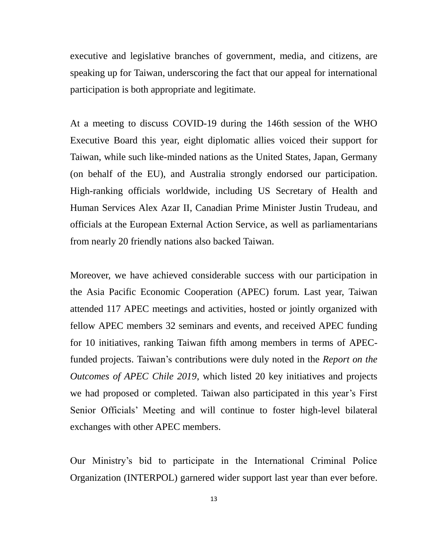executive and legislative branches of government, media, and citizens, are speaking up for Taiwan, underscoring the fact that our appeal for international participation is both appropriate and legitimate.

At a meeting to discuss COVID-19 during the 146th session of the WHO Executive Board this year, eight diplomatic allies voiced their support for Taiwan, while such like-minded nations as the United States, Japan, Germany (on behalf of the EU), and Australia strongly endorsed our participation. High-ranking officials worldwide, including US Secretary of Health and Human Services Alex Azar II, Canadian Prime Minister Justin Trudeau, and officials at the European External Action Service, as well as parliamentarians from nearly 20 friendly nations also backed Taiwan.

Moreover, we have achieved considerable success with our participation in the Asia Pacific Economic Cooperation (APEC) forum. Last year, Taiwan attended 117 APEC meetings and activities, hosted or jointly organized with fellow APEC members 32 seminars and events, and received APEC funding for 10 initiatives, ranking Taiwan fifth among members in terms of APECfunded projects. Taiwan's contributions were duly noted in the *Report on the Outcomes of APEC Chile 2019*, which listed 20 key initiatives and projects we had proposed or completed. Taiwan also participated in this year's First Senior Officials' Meeting and will continue to foster high-level bilateral exchanges with other APEC members.

Our Ministry's bid to participate in the International Criminal Police Organization (INTERPOL) garnered wider support last year than ever before.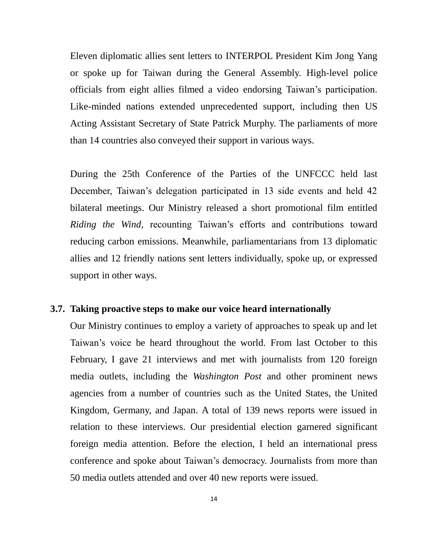Eleven diplomatic allies sent letters to INTERPOL President Kim Jong Yang or spoke up for Taiwan during the General Assembly. High-level police officials from eight allies filmed a video endorsing Taiwan's participation. Like-minded nations extended unprecedented support, including then US Acting Assistant Secretary of State Patrick Murphy. The parliaments of more than 14 countries also conveyed their support in various ways.

During the 25th Conference of the Parties of the UNFCCC held last December, Taiwan's delegation participated in 13 side events and held 42 bilateral meetings. Our Ministry released a short promotional film entitled *Riding the Wind*, recounting Taiwan's efforts and contributions toward reducing carbon emissions. Meanwhile, parliamentarians from 13 diplomatic allies and 12 friendly nations sent letters individually, spoke up, or expressed support in other ways.

## **3.7. Taking proactive steps to make our voice heard internationally**

Our Ministry continues to employ a variety of approaches to speak up and let Taiwan's voice be heard throughout the world. From last October to this February, I gave 21 interviews and met with journalists from 120 foreign media outlets, including the *Washington Post* and other prominent news agencies from a number of countries such as the United States, the United Kingdom, Germany, and Japan. A total of 139 news reports were issued in relation to these interviews. Our presidential election garnered significant foreign media attention. Before the election, I held an international press conference and spoke about Taiwan's democracy. Journalists from more than 50 media outlets attended and over 40 new reports were issued.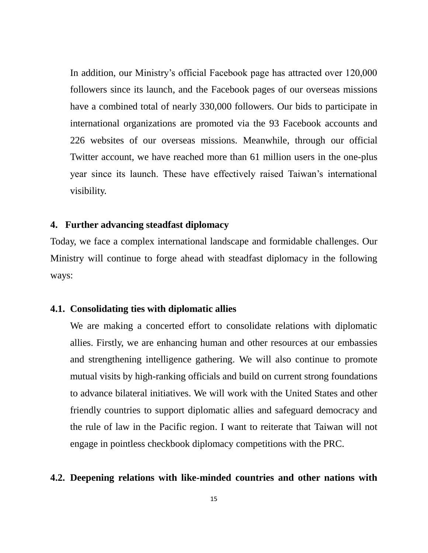In addition, our Ministry's official Facebook page has attracted over 120,000 followers since its launch, and the Facebook pages of our overseas missions have a combined total of nearly 330,000 followers. Our bids to participate in international organizations are promoted via the 93 Facebook accounts and 226 websites of our overseas missions. Meanwhile, through our official Twitter account, we have reached more than 61 million users in the one-plus year since its launch. These have effectively raised Taiwan's international visibility.

## **4. Further advancing steadfast diplomacy**

Today, we face a complex international landscape and formidable challenges. Our Ministry will continue to forge ahead with steadfast diplomacy in the following ways:

## **4.1. Consolidating ties with diplomatic allies**

We are making a concerted effort to consolidate relations with diplomatic allies. Firstly, we are enhancing human and other resources at our embassies and strengthening intelligence gathering. We will also continue to promote mutual visits by high-ranking officials and build on current strong foundations to advance bilateral initiatives. We will work with the United States and other friendly countries to support diplomatic allies and safeguard democracy and the rule of law in the Pacific region. I want to reiterate that Taiwan will not engage in pointless checkbook diplomacy competitions with the PRC.

### **4.2. Deepening relations with like-minded countries and other nations with**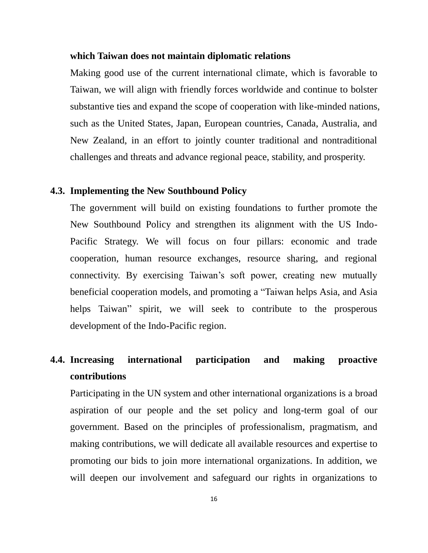#### **which Taiwan does not maintain diplomatic relations**

Making good use of the current international climate, which is favorable to Taiwan, we will align with friendly forces worldwide and continue to bolster substantive ties and expand the scope of cooperation with like-minded nations, such as the United States, Japan, European countries, Canada, Australia, and New Zealand, in an effort to jointly counter traditional and nontraditional challenges and threats and advance regional peace, stability, and prosperity.

#### **4.3. Implementing the New Southbound Policy**

The government will build on existing foundations to further promote the New Southbound Policy and strengthen its alignment with the US Indo-Pacific Strategy. We will focus on four pillars: economic and trade cooperation, human resource exchanges, resource sharing, and regional connectivity. By exercising Taiwan's soft power, creating new mutually beneficial cooperation models, and promoting a "Taiwan helps Asia, and Asia helps Taiwan" spirit, we will seek to contribute to the prosperous development of the Indo-Pacific region.

## **4.4. Increasing international participation and making proactive contributions**

Participating in the UN system and other international organizations is a broad aspiration of our people and the set policy and long-term goal of our government. Based on the principles of professionalism, pragmatism, and making contributions, we will dedicate all available resources and expertise to promoting our bids to join more international organizations. In addition, we will deepen our involvement and safeguard our rights in organizations to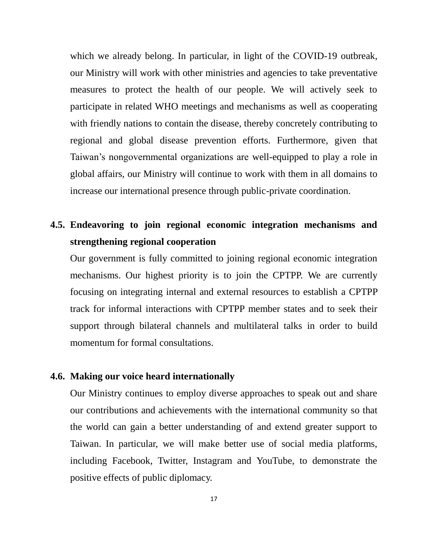which we already belong. In particular, in light of the COVID-19 outbreak, our Ministry will work with other ministries and agencies to take preventative measures to protect the health of our people. We will actively seek to participate in related WHO meetings and mechanisms as well as cooperating with friendly nations to contain the disease, thereby concretely contributing to regional and global disease prevention efforts. Furthermore, given that Taiwan's nongovernmental organizations are well-equipped to play a role in global affairs, our Ministry will continue to work with them in all domains to increase our international presence through public-private coordination.

# **4.5. Endeavoring to join regional economic integration mechanisms and strengthening regional cooperation**

Our government is fully committed to joining regional economic integration mechanisms. Our highest priority is to join the CPTPP. We are currently focusing on integrating internal and external resources to establish a CPTPP track for informal interactions with CPTPP member states and to seek their support through bilateral channels and multilateral talks in order to build momentum for formal consultations.

### **4.6. Making our voice heard internationally**

Our Ministry continues to employ diverse approaches to speak out and share our contributions and achievements with the international community so that the world can gain a better understanding of and extend greater support to Taiwan. In particular, we will make better use of social media platforms, including Facebook, Twitter, Instagram and YouTube, to demonstrate the positive effects of public diplomacy.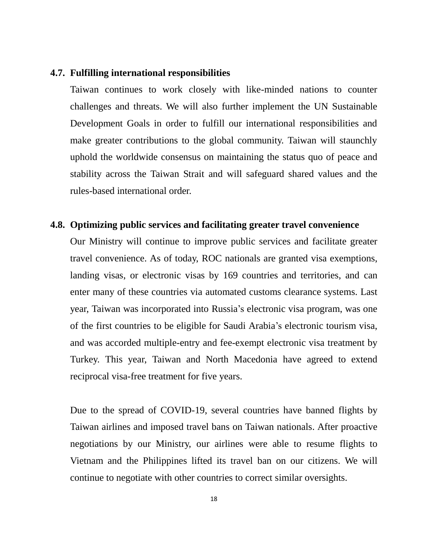### **4.7. Fulfilling international responsibilities**

Taiwan continues to work closely with like-minded nations to counter challenges and threats. We will also further implement the UN Sustainable Development Goals in order to fulfill our international responsibilities and make greater contributions to the global community. Taiwan will staunchly uphold the worldwide consensus on maintaining the status quo of peace and stability across the Taiwan Strait and will safeguard shared values and the rules-based international order.

## **4.8. Optimizing public services and facilitating greater travel convenience**

Our Ministry will continue to improve public services and facilitate greater travel convenience. As of today, ROC nationals are granted visa exemptions, landing visas, or electronic visas by 169 countries and territories, and can enter many of these countries via automated customs clearance systems. Last year, Taiwan was incorporated into Russia's electronic visa program, was one of the first countries to be eligible for Saudi Arabia's electronic tourism visa, and was accorded multiple-entry and fee-exempt electronic visa treatment by Turkey. This year, Taiwan and North Macedonia have agreed to extend reciprocal visa-free treatment for five years.

Due to the spread of COVID-19, several countries have banned flights by Taiwan airlines and imposed travel bans on Taiwan nationals. After proactive negotiations by our Ministry, our airlines were able to resume flights to Vietnam and the Philippines lifted its travel ban on our citizens. We will continue to negotiate with other countries to correct similar oversights.